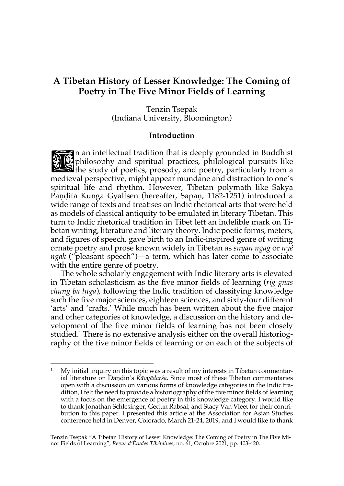# **A Tibetan History of Lesser Knowledge: The Coming of Poetry in The Five Minor Fields of Learning**

Tenzin Tsepak (Indiana University, Bloomington)

#### **Introduction**

In an intellectual tradition that is deeply grounded in Buddhist<br>
In philosophy and spiritual practices, philological pursuits like<br>
the study of poetics, prosody, and poetry, particularly from a<br>
state of the study of poe philosophy and spiritual practices, philological pursuits like  $\mathbf{\hat{S}}$  the study of poetics, prosody, and poetry, particularly from a medieval perspective, might appear mundane and distraction to one's spiritual life and rhythm. However, Tibetan polymath like Sakya Paṇḍita Kunga Gyaltsen (hereafter, Sapaṇ, 1182-1251) introduced a wide range of texts and treatises on Indic rhetorical arts that were held as models of classical antiquity to be emulated in literary Tibetan. This turn to Indic rhetorical tradition in Tibet left an indelible mark on Tibetan writing, literature and literary theory. Indic poetic forms, meters, and figures of speech, gave birth to an Indic-inspired genre of writing ornate poetry and prose known widely in Tibetan as *snyan ngag* or *nyé ngak* ("pleasant speech")—a term, which has later come to associate with the entire genre of poetry.

The whole scholarly engagement with Indic literary arts is elevated in Tibetan scholasticism as the five minor fields of learning (*rig gnas chung ba lnga*), following the Indic tradition of classifying knowledge such the five major sciences, eighteen sciences, and sixty-four different 'arts' and 'crafts.' While much has been written about the five major and other categories of knowledge, a discussion on the history and development of the five minor fields of learning has not been closely studied.<sup>1</sup> There is no extensive analysis either on the overall historiography of the five minor fields of learning or on each of the subjects of

 $1$  My initial inquiry on this topic was a result of my interests in Tibetan commentarial literature on Daṇḍin's *Kāvyādarśa*. Since most of these Tibetan commentaries open with a discussion on various forms of knowledge categories in the Indic tradition, I felt the need to provide a historiography of the five minor fields of learning with a focus on the emergence of poetry in this knowledge category. I would like to thank Jonathan Schlesinger, Gedun Rabsal, and Stacy Van Vleet for their contribution to this paper. I presented this article at the Association for Asian Studies conference held in Denver, Colorado, March 21-24, 2019, and I would like to thank

Tenzin Tsepak "A Tibetan History of Lesser Knowledge: The Coming of Poetry in The Five Minor Fields of Learning", *Revue d'Etudes Tibétaines*, no. 61, Octobre 2021, pp. 403-420.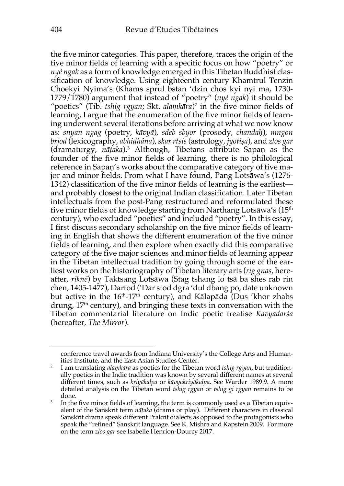the five minor categories. This paper, therefore, traces the origin of the five minor fields of learning with a specific focus on how "poetry" or *nyé ngak* as a form of knowledge emerged in this Tibetan Buddhist classification of knowledge. Using eighteenth century Khamtrul Tenzin Choekyi Nyima's (Khams sprul bstan 'dzin chos kyi nyi ma, 1730- 1779/1780) argument that instead of "poetry" (*nyé ngak*) it should be "poetics" (Tib. *tshig rgyan*; Skt. *alaṃkāra*) <sup>2</sup> in the five minor fields of learning, I argue that the enumeration of the five minor fields of learning underwent several iterations before arriving at what we now know as: *snyan ngag* (poetry, *kāvyā*), *sdeb sbyor* (prosody, *chandaḥ*), *mngon brjod* (lexicography, *abhidhâna*), *skar rtsis*(astrology, *jyotiṣa*), and *zlos gar* (dramaturgy, *nāṭaka*).3 Although, Tibetans attribute Sapaṇ as the founder of the five minor fields of learning, there is no philological reference in Sapaṇ's works about the comparative category of five major and minor fields. From what I have found, Pang Lotsāwa's (1276- 1342) classification of the five minor fields of learning is the earliest and probably closest to the original Indian classification. Later Tibetan intellectuals from the post-Pang restructured and reformulated these five minor fields of knowledge starting from Narthang Lotsāwa's  $(15<sup>th</sup>$ century), who excluded "poetics" and included "poetry". In this essay, I first discuss secondary scholarship on the five minor fields of learning in English that shows the different enumeration of the five minor fields of learning, and then explore when exactly did this comparative category of the five major sciences and minor fields of learning appear in the Tibetan intellectual tradition by going through some of the earliest works on the historiography of Tibetan literary arts (*rig gnas*, hereafter, *rikné*) by Taktsang Lotsāwa (Stag tshang lo tsā ba shes rab rin chen, 1405-1477), Dartod ('Dar stod dgra 'dul dbang po, date unknown but active in the  $16<sup>th</sup>$ -17<sup>th</sup> century), and Kālapāda (Dus 'khor zhabs drung,  $17<sup>th</sup>$  century), and bringing these texts in conversation with the Tibetan commentarial literature on Indic poetic treatise *Kāvyādarśa* (hereafter, *The Mirror*).

conference travel awards from Indiana University's the College Arts and Human-

ities Institute, and the East Asian Studies Center. 2 I am translating *alaṃkāra* as poetics for the Tibetan word *tshig rgyan*, but traditionally poetics in the Indic tradition was known by several different names at several different times, such as *kriyākalpa* or *kāvyakriyākalpa*. See Warder 1989:9. A more detailed analysis on the Tibetan word *tshig rgyan* or *tshig gi rgyan* remains to be done.<br>3 In the five minor fields of learning, the term is commonly used as a Tibetan equiv-

alent of the Sanskrit term *nāṭaka* (drama or play). Different characters in classical Sanskrit drama speak different Prakrit dialects as opposed to the protagonists who speak the "refined" Sanskrit language. See K. Mishra and Kapstein 2009. For more on the term *zlos gar* see Isabelle Henrion-Dourcy 2017.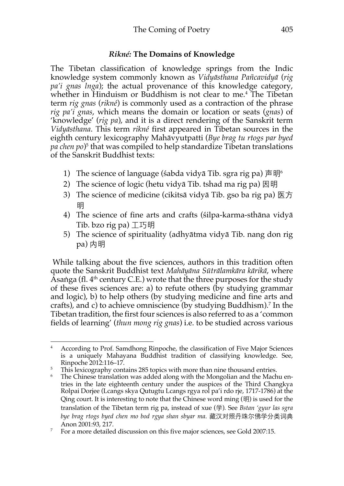### *Rikné:* **The Domains of Knowledge**

The Tibetan classification of knowledge springs from the Indic knowledge system commonly known as *Vidyāsthana Pañcavidyā* (*rig pa'i gnas lnga*); the actual provenance of this knowledge category, whether in Hinduism or Buddhism is not clear to me. <sup>4</sup> The Tibetan term *rig gnas* (*rikné*) is commonly used as a contraction of the phrase *rig pa'i gnas*, which means the domain or location or seats (*gnas*) of 'knowledge' (*rig pa*), and it is a direct rendering of the Sanskrit term *Vidyāsthana*. This term *rikné* first appeared in Tibetan sources in the eighth century lexicography Mahāvyutpatti (*Bye brag tu rtogs par byed pa chen po*) <sup>5</sup> that was compiled to help standardize Tibetan translations of the Sanskrit Buddhist texts:

- 1) The science of language (śabda vidyā Tib. sgra rig pa) 声明<sup>6</sup>
- 2) The science of logic (hetu vidyā Tib. tshad ma rig pa) 因明
- 3) The science of medicine (cikitsā vidyā Tib. gso ba rig pa) 医方 明
- 4) The science of fine arts and crafts (śilpa-karma-sthāna vidyā Tib. bzo rig pa) 工巧明
- 5) The science of spirituality (adhyātma vidyā Tib. nang don rig pa) 内明

While talking about the five sciences, authors in this tradition often quote the Sanskrit Buddhist text *Mahāyāna Sūtrālamkāra kārikā*, where Asaṅga (fl.  $4<sup>th</sup>$  century C.E.) wrote that the three purposes for the study of these fives sciences are: a) to refute others (by studying grammar and logic), b) to help others (by studying medicine and fine arts and crafts), and c) to achieve omniscience (by studying Buddhism).7 In the Tibetan tradition, the first four sciences is also referred to as a 'common fields of learning' (*thun mong rig gnas*) i.e. to be studied across various

<sup>&</sup>lt;sup>4</sup> According to Prof. Samdhong Rinpoche, the classification of Five Major Sciences is a uniquely Mahayana Buddhist tradition of classifying knowledge. See,

Rinpoche 2012:116–17.<br>This lexicography contains 285 topics with more than nine thousand entries.

 $\frac{6}{10}$  The Chinese translation was added along with the Mongolian and the Machu entries in the late eighteenth century under the auspices of the Third Changkya Rolpai Dorjee (Lcangs skya Qutugtu Lcangs rgya rol pa'i rdo rje, 1717-1786) at the Qing court. It is interesting to note that the Chinese word ming (明) is used for the translation of the Tibetan term rig pa, instead of xue (学)*.* See *Bstan 'gyur las sgra bye brag rtogs byed chen mo bod rgya shan sbyar ma*. 藏汉对照丹珠尔佛学分类词典

Anon 2001:93, 217.<br><sup>7</sup> For a more detailed discussion on this five major sciences, see Gold 2007:15.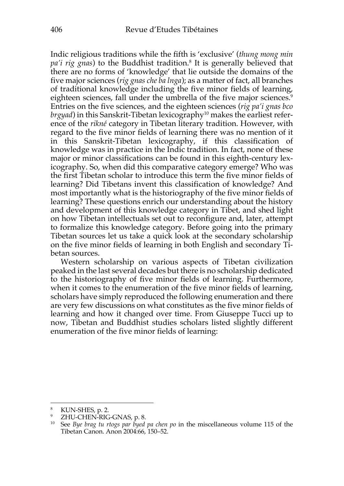Indic religious traditions while the fifth is 'exclusive' (*thung mong min pa'i rig gnas*) to the Buddhist tradition.8 It is generally believed that there are no forms of 'knowledge' that lie outside the domains of the five major sciences (*rig gnas che ba lnga*); as a matter of fact, all branches of traditional knowledge including the five minor fields of learning, eighteen sciences, fall under the umbrella of the five major sciences.<sup>9</sup> Entries on the five sciences, and the eighteen sciences (*rig pa'i gnas bco brgyad*) in this Sanskrit-Tibetan lexicography<sup>10</sup> makes the earliest reference of the *rikné* category in Tibetan literary tradition. However, with regard to the five minor fields of learning there was no mention of it in this Sanskrit-Tibetan lexicography, if this classification of knowledge was in practice in the Indic tradition. In fact, none of these major or minor classifications can be found in this eighth-century lexicography. So, when did this comparative category emerge? Who was the first Tibetan scholar to introduce this term the five minor fields of learning? Did Tibetans invent this classification of knowledge? And most importantly what is the historiography of the five minor fields of learning? These questions enrich our understanding about the history and development of this knowledge category in Tibet, and shed light on how Tibetan intellectuals set out to reconfigure and, later, attempt to formalize this knowledge category. Before going into the primary Tibetan sources let us take a quick look at the secondary scholarship on the five minor fields of learning in both English and secondary Tibetan sources.

Western scholarship on various aspects of Tibetan civilization peaked in the last several decades but there is no scholarship dedicated to the historiography of five minor fields of learning. Furthermore, when it comes to the enumeration of the five minor fields of learning, scholars have simply reproduced the following enumeration and there are very few discussions on what constitutes as the five minor fields of learning and how it changed over time. From Giuseppe Tucci up to now, Tibetan and Buddhist studies scholars listed slightly different enumeration of the five minor fields of learning:

<sup>&</sup>lt;sup>8</sup> KUN-SHES, p. 2.<br><sup>9</sup> ZHU-CHEN-RIG-GNAS, p. 8.

<sup>10</sup> See *Bye brag tu rtogs par byed pa chen po* in the miscellaneous volume 115 of the Tibetan Canon. Anon 2004:66, 150–52.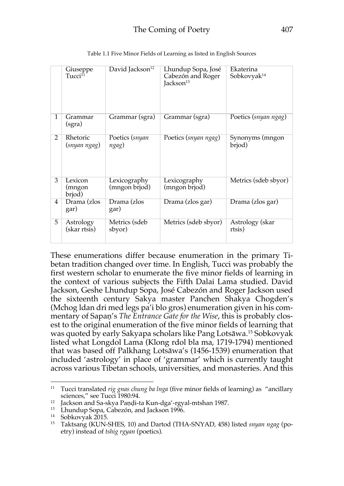|   | Giuseppe<br>Tucci <sup>11</sup> | David Jackson <sup>12</sup>   | Lhundup Sopa, José<br>Cabezón and Roger<br>Jackson <sup>13</sup> | Ekaterina<br>Sobkovyak <sup>14</sup> |
|---|---------------------------------|-------------------------------|------------------------------------------------------------------|--------------------------------------|
| 1 | Grammar<br>(sgra)               | Grammar (sgra)                | Grammar (sgra)                                                   | Poetics (snyan ngag)                 |
| 2 | Rhetoric<br>(snyan ngag)        | Poetics (snyan<br>ngag)       | Poetics (snyan ngag)                                             | Synonyms (mngon<br>brjod)            |
| 3 | Lexicon<br>(mngon<br>brjod)     | Lexicography<br>(mngon brjod) | Lexicography<br>(mngon brjod)                                    | Metrics (sdeb sbyor)                 |
| 4 | Drama (zlos<br>gar)             | Drama (zlos<br>gar)           | Drama (zlos gar)                                                 | Drama (zlos gar)                     |
| 5 | Astrology<br>(skar rtsis)       | Metrics (sdeb<br>sbyor)       | Metrics (sdeb sbyor)                                             | Astrology (skar<br>rtsis)            |

Table 1.1 Five Minor Fields of Learning as listed in English Sources

These enumerations differ because enumeration in the primary Tibetan tradition changed over time. In English, Tucci was probably the first western scholar to enumerate the five minor fields of learning in the context of various subjects the Fifth Dalai Lama studied. David Jackson, Geshe Lhundup Sopa, José Cabezón and Roger Jackson used the sixteenth century Sakya master Panchen Shakya Chogden's (Mchog ldan dri med legs pa'i blo gros) enumeration given in his commentary of Sapaṇ's *The Entrance Gate for the Wise*, this is probably closest to the original enumeration of the five minor fields of learning that was quoted by early Sakyapa scholars like Pang Lotsāwa.15 Sobkovyak listed what Longdol Lama (Klong rdol bla ma, 1719-1794) mentioned that was based off Palkhang Lotsāwa's (1456-1539) enumeration that included 'astrology' in place of 'grammar' which is currently taught across various Tibetan schools, universities, and monasteries. And this

<sup>&</sup>lt;sup>11</sup> Tucci translated *rig gnas chung ba lnga* (five minor fields of learning) as "ancillary sciences," see Tucci 1980:94.

<sup>&</sup>lt;sup>12</sup> Jackson and Sa-skya Paṇḍi-ta Kun-dga'-rgyal-mtshan 1987.<br><sup>13</sup> Lhundup Sopa, Cabezón, and Jackson 1996.

<sup>14</sup> Sobkovyak 2015.

<sup>15</sup> Taktsang (KUN-SHES, 10) and Dartod (THA-SNYAD, 458) listed *snyan ngag* (poetry) instead of *tshig rgyan* (poetics).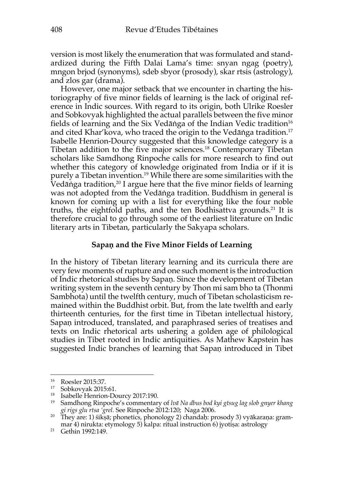version is most likely the enumeration that was formulated and standardized during the Fifth Dalai Lama's time: snyan ngag (poetry), mngon brjod (synonyms), sdeb sbyor (prosody), skar rtsis (astrology), and zlos gar (drama).

However, one major setback that we encounter in charting the historiography of five minor fields of learning is the lack of original reference in Indic sources. With regard to its origin, both Ulrike Roesler and Sobkovyak highlighted the actual parallels between the five minor fields of learning and the Six Vedāṅga of the Indian Vedic tradition<sup>16</sup> and cited Khar'kova, who traced the origin to the Vedāṅga tradition.17 Isabelle Henrion-Dourcy suggested that this knowledge category is a Tibetan addition to the five major sciences.18 Contemporary Tibetan scholars like Samdhong Rinpoche calls for more research to find out whether this category of knowledge originated from India or if it is purely a Tibetan invention.19 While there are some similarities with the Vedāṅga tradition,<sup>20</sup> I argue here that the five minor fields of learning was not adopted from the Vedāṅga tradition. Buddhism in general is known for coming up with a list for everything like the four noble truths, the eightfold paths, and the ten Bodhisattva grounds. <sup>21</sup> It is therefore crucial to go through some of the earliest literature on Indic literary arts in Tibetan, particularly the Sakyapa scholars.

#### **Sapaṇ and the Five Minor Fields of Learning**

In the history of Tibetan literary learning and its curricula there are very few moments of rupture and one such moment is the introduction of Indic rhetorical studies by Sapaṇ. Since the development of Tibetan writing system in the seventh century by Thon mi sam bho ta (Thonmi Sambhota) until the twelfth century, much of Tibetan scholasticism remained within the Buddhist orbit. But, from the late twelfth and early thirteenth centuries, for the first time in Tibetan intellectual history, Sapaṇ introduced, translated, and paraphrased series of treatises and texts on Indic rhetorical arts ushering a golden age of philological studies in Tibet rooted in Indic antiquities. As Mathew Kapstein has suggested Indic branches of learning that Sapaṇ introduced in Tibet

 $^{16}$  Roesler 2015:37.<br> $^{17}$  Sobkowak 2015

<sup>&</sup>lt;sup>17</sup> Sobkovyak 2015:61.<br><sup>18</sup> Isabelle Henrion-Dourcy 2017:190.<br><sup>19</sup> Samdhong Rinpoche's commentary of *lvā Na dbus bod kyi gtsug lag slob gnyer khang gi rigs glu rtsa 'grel*. See Rinpoche 2012:120; Naga 2006. <sup>20</sup> They are: 1) śikṣā; phonetics, phonology 2) chandaḥ: prosody 3) vyākaraṇa: gram-

mar 4) nirukta: etymology 5) kalpa: ritual instruction 6) jyotiṣa: astrology

<sup>21</sup> Gethin 1992:149.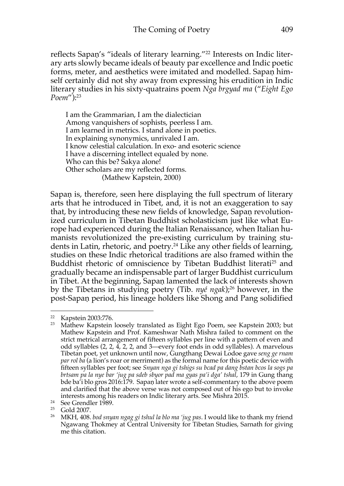reflects Sapaṇ's "ideals of literary learning."<sup>22</sup> Interests on Indic literary arts slowly became ideals of beauty par excellence and Indic poetic forms, meter, and aesthetics were imitated and modelled. Sapaṇ himself certainly did not shy away from expressing his erudition in Indic literary studies in his sixty-quatrains poem *Nga brgyad ma* ("*Eight Ego Poem*"): 23

I am the Grammarian, I am the dialectician Among vanquishers of sophists, peerless I am. I am learned in metrics. I stand alone in poetics. In explaining synonymics, unrivaled I am. I know celestial calculation. In exo- and esoteric science I have a discerning intellect equaled by none. Who can this be? Sakya alone! Other scholars are my reflected forms. (Mathew Kapstein, 2000)

Sapaṇ is, therefore, seen here displaying the full spectrum of literary arts that he introduced in Tibet, and, it is not an exaggeration to say that, by introducing these new fields of knowledge, Sapaṇ revolutionized curriculum in Tibetan Buddhist scholasticism just like what Europe had experienced during the Italian Renaissance, when Italian humanists revolutionized the pre-existing curriculum by training students in Latin, rhetoric, and poetry.<sup>24</sup> Like any other fields of learning, studies on these Indic rhetorical traditions are also framed within the Buddhist rhetoric of omniscience by Tibetan Buddhist literati<sup>25</sup> and gradually became an indispensable part of larger Buddhist curriculum in Tibet. At the beginning, Sapaṇ lamented the lack of interests shown by the Tibetans in studying poetry (Tib. *nyé ngak*);<sup>26</sup> however, in the post-Sapaṇ period, his lineage holders like Shong and Pang solidified

<sup>&</sup>lt;sup>22</sup> Kapstein 2003:776.<br><sup>23</sup> Mathew Kapstein loosely translated as Eight Ego Poem, see Kapstein 2003; but Mathew Kapstein and Prof. Kameshwar Nath Mishra failed to comment on the strict metrical arrangement of fifteen syllables per line with a pattern of even and odd syllables (2, 2, 4, 2, 2, and 3—every foot ends in odd syllables). A marvelous Tibetan poet, yet unknown until now, Gungthang Dewai Lodoe gave *seng ge rnam par rol ba* (a lion's roar or merriment) as the formal name for this poetic device with fifteen syllables per foot; see *Snyan nga gi tshigs su bcad pa dang bstan bcos la sogs pa brtsam pa la nye bar 'jug pa sdeb sbyor pad ma gyas pa'i dga' tshal*, 179 in Gung thang bde ba'i blo gros 2016:179. Sapaṇ later wrote a self-commentary to the above poem and clarified that the above verse was not composed out of his ego but to invoke interests among his readers on Indic literary arts. See Mishra 2015.

<sup>&</sup>lt;sup>24</sup> See Grendler 1989.<br><sup>25</sup> Gold 2007. <br><sup>26</sup> MKH, 408. *bod snyan ngag gi tshul la blo ma 'jug pas*. I would like to thank my friend Ngawang Thokmey at Central University for Tibetan Studies, Sarnath for giving me this citation.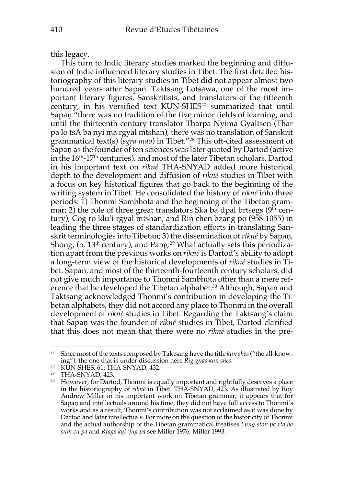this legacy.

This turn to Indic literary studies marked the beginning and diffusion of Indic influenced literary studies in Tibet. The first detailed historiography of this literary studies in Tibet did not appear almost two hundred years after Sapaṇ. Taktsang Lotsāwa, one of the most important literary figures, Sanskritists, and translators of the fifteenth century, in his versified text KUN-SHES<sup>27</sup> summarized that until Sapan "there was no tradition of the five minor fields of learning, and until the thirteenth century translator Tharpa Nyima Gyaltsen (Thar pa lo tsA ba nyi ma rgyal mtshan), there was no translation of Sanskrit grammatical text(s) (*sgra mdo*) in Tibet."28 This oft-cited assessment of Sapaṇ as the founder of ten sciences was later quoted by Dartod (active in the  $16<sup>th</sup>$ -17<sup>th</sup> centuries), and most of the later Tibetan scholars. Dartod in his important text on *rikné* THA-SNYAD added more historical depth to the development and diffusion of *rikné* studies in Tibet with a focus on key historical figures that go back to the beginning of the writing system in Tibet. He consolidated the history of *rikné* into three periods: 1) Thonmi Sambhota and the beginning of the Tibetan grammar; 2) the role of three great translators Ska ba dpal brtsegs  $(9<sup>th</sup>$  century), Cog ro klu'i rgyal mtshan, and Rin chen bzang po (958-1055) in leading the three stages of standardization efforts in translating Sanskrit terminologies into Tibetan; 3) the dissemination of *rikné* by Sapaṇ, Shong,  $(b. 13<sup>th</sup>$  century), and Pang.<sup>29</sup> What actually sets this periodization apart from the previous works on *rikné* is Dartod's ability to adopt a long-term view of the historical developments of *rikné* studies in Tibet. Sapaṇ, and most of the thirteenth-fourteenth century scholars, did not give much importance to Thonmi Sambhota other than a mere reference that he developed the Tibetan alphabet.<sup>30</sup> Although, Sapaṇ and Taktsang acknowledged Thonmi's contribution in developing the Tibetan alphabets, they did not accord any place to Thonmi in the overall development of *rikné* studies in Tibet. Regarding the Taktsang's claim that Sapaṇ was the founder of *rikné* studies in Tibet, Dartod clarified that this does not mean that there were no *rikné* studies in the pre-

<sup>27</sup> Since most of the texts composed by Taktsang have the title *kun shes* ("the all-know-

ing"), the one that is under discussion here *Rig gnas kun shes*.<br><sup>28</sup> KUN-SHES, 61; THA-SNYAD, 432.<br><sup>29</sup> THA-SNYAD, 423.<br><sup>30</sup> However, for Dartod, Thonmi is equally important and rightfully deserves a place in the historiography of *rikné* in Tibet. THA-SNYAD, 423. As illustrated by Roy Andrew Miller in his important work on Tibetan grammar, it appears that for Sapaṇ and intellectuals around his time, they did not have full access to Thonmi's works and as a result, Thonmi's contribution was not acclaimed as it was done by Dartod and later intellectuals. For more on the question of the historicity of Thonmi and the actual authorship of the Tibetan grammatical treatises *Lung ston pa rta ba sum cu pa* and *Rtags kyi 'jug pa* see Miller 1976, Miller 1993.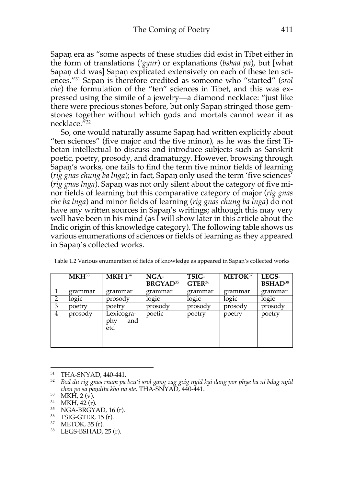Sapaṇ era as "some aspects of these studies did exist in Tibet either in the form of translations (*'gyur*) or explanations (*bshad pa*), but [what Sapaṇ did was] Sapaṇ explicated extensively on each of these ten sciences."31 Sapaṇ is therefore credited as someone who "started" (*srol che*) the formulation of the "ten" sciences in Tibet, and this was expressed using the simile of a jewelry—a diamond necklace: "just like there were precious stones before, but only Sapaṇ stringed those gemstones together without which gods and mortals cannot wear it as necklace."32

So, one would naturally assume Sapaṇ had written explicitly about "ten sciences" (five major and the five minor), as he was the first Tibetan intellectual to discuss and introduce subjects such as Sanskrit poetic, poetry, prosody, and dramaturgy. However, browsing through Sapaṇ's works, one fails to find the term five minor fields of learning (*rig gnas chung ba lnga*); in fact, Sapaṇ only used the term 'five sciences' (*rig gnas lnga*). Sapaṇ was not only silent about the category of five minor fields of learning but this comparative category of major (*rig gnas che ba lnga*) and minor fields of learning (*rig gnas chung ba lnga*) do not have any written sources in Sapan's writings; although this may very well have been in his mind (as I will show later in this article about the Indic origin of this knowledge category). The following table shows us various enumerations of sciences or fields of learning as they appeared in Sapaṇ's collected works.

|   | MKH <sup>33</sup> | MKH 1 <sup>34</sup>              | NGA-<br><b>BRGYAD</b> <sup>35</sup> | TSIG-<br>GTER <sup>36</sup> | METOK <sup>37</sup> | LEGS-<br>BSHAD <sup>38</sup> |
|---|-------------------|----------------------------------|-------------------------------------|-----------------------------|---------------------|------------------------------|
|   | grammar           | grammar                          | grammar                             | grammar                     | grammar             | grammar                      |
| 2 | logic             | prosody                          | logic                               | logic                       | logic               | logic                        |
| 3 | poetrv            | poetry                           | prosody                             | prosody                     | prosody             | prosody                      |
| 4 | prosody           | Lexicogra-<br>and<br>phy<br>etc. | poetic                              | poetry                      | poetry              | poetry                       |

Table 1.2 Various enumeration of fields of knowledge as appeared in Sapaṇ's collected works

<sup>31</sup> THA-SNYAD, 440-441. 32 *Bod du rig gnas rnam pa bcu'i srol gang zag gcig nyid kyi dang por phye ba ni bdag nyid chen po sa pandita kho na ste*. THA-SNYAD, 440-441.<br>
<sup>33</sup> MKH, 2 (v).<br>
<sup>34</sup> MKH, 42 (r).<br>
<sup>35</sup> NGA-BRGYAD, 16 (r).<br>
<sup>35</sup> TSIG-GTER, 15 (r).<br>
<sup>37</sup> METOK, 35 (r).<br>
<sup>37</sup> METOK, 35 (r).<br>
<sup>38</sup> LEGS-BSHAD, 25 (r).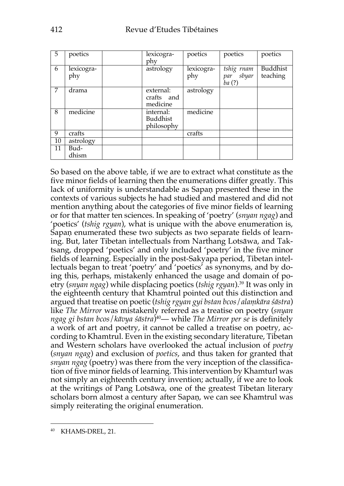| 5  | poetics           | lexicogra-<br>phy                   | poetics           | poetics                             | poetics              |
|----|-------------------|-------------------------------------|-------------------|-------------------------------------|----------------------|
| 6  | lexicogra-<br>phy | astrology                           | lexicogra-<br>phy | tshig rnam<br>sbyar<br>par<br>ba(?) | Buddhist<br>teaching |
| 7  | drama             | external:<br>crafts and<br>medicine | astrology         |                                     |                      |
| 8  | medicine          | internal:<br>Buddhist<br>philosophy | medicine          |                                     |                      |
| 9  | crafts            |                                     | crafts            |                                     |                      |
| 10 | astrology         |                                     |                   |                                     |                      |
| 11 | Bud-<br>dhism     |                                     |                   |                                     |                      |

So based on the above table, if we are to extract what constitute as the five minor fields of learning then the enumerations differ greatly. This lack of uniformity is understandable as Sapaṇ presented these in the contexts of various subjects he had studied and mastered and did not mention anything about the categories of five minor fields of learning or for that matter ten sciences. In speaking of 'poetry' (*snyan ngag*) and 'poetics' (*tshig rgyan*), what is unique with the above enumeration is, Sapaṇ enumerated these two subjects as two separate fields of learning. But, later Tibetan intellectuals from Narthang Lotsāwa, and Taktsang, dropped 'poetics' and only included 'poetry' in the five minor fields of learning. Especially in the post-Sakyapa period, Tibetan intellectuals began to treat 'poetry' and 'poetics' as synonyms, and by doing this, perhaps, mistakenly enhanced the usage and domain of poetry (*snyan ngag*) while displacing poetics (*tshig rgyan*).39 It was only in the eighteenth century that Khamtrul pointed out this distinction and argued that treatise on poetic (*tshig rgyan gyi bstan bcos*/*alaṃkāra śāstra*) like *The Mirror* was mistakenly referred as a treatise on poetry (*snyan ngag gi bstan bcos*/*kāvya śāstra*)40— while *The Mirror per se* is definitely a work of art and poetry, it cannot be called a treatise on poetry, according to Khamtrul. Even in the existing secondary literature, Tibetan and Western scholars have overlooked the actual inclusion of *poetry* (*snyan ngag*) and exclusion of *poetics*, and thus taken for granted that *snyan ngag* (poetry) was there from the very inception of the classification of five minor fields of learning. This intervention by Khamturl was not simply an eighteenth century invention; actually, if we are to look at the writings of Pang Lotsāwa, one of the greatest Tibetan literary scholars born almost a century after Sapaṇ, we can see Khamtrul was simply reiterating the original enumeration.

<sup>40</sup> KHAMS-DREL, 21.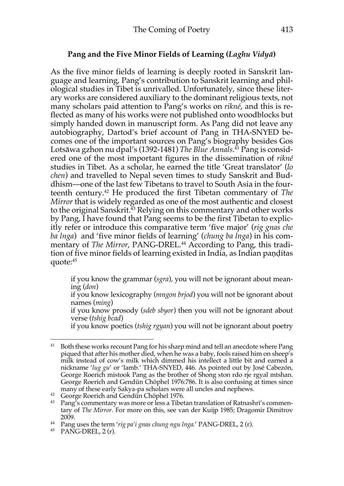### **Pang and the Five Minor Fields of Learning (***Laghu Vidyā***)**

As the five minor fields of learning is deeply rooted in Sanskrit language and learning, Pang's contribution to Sanskrit learning and philological studies in Tibet is unrivalled. Unfortunately, since these literary works are considered auxiliary to the dominant religious texts, not many scholars paid attention to Pang's works on *rikné*, and this is reflected as many of his works were not published onto woodblocks but simply handed down in manuscript form. As Pang did not leave any autobiography, Dartod's brief account of Pang in THA-SNYED becomes one of the important sources on Pang's biography besides Gos Lotsāwa gzhon nu dpal's (1392-1481) *The Blue Annals*. <sup>41</sup> Pang is considered one of the most important figures in the dissemination of *rikné* studies in Tibet. As a scholar, he earned the title 'Great translator' (*lo chen*) and travelled to Nepal seven times to study Sanskrit and Buddhism—one of the last few Tibetans to travel to South Asia in the fourteenth century.42 He produced the first Tibetan commentary of *The Mirror* that is widely regarded as one of the most authentic and closest to the original Sanskrit.<sup>43</sup> Relying on this commentary and other works by Pang, I have found that Pang seems to be the first Tibetan to explicitly refer or introduce this comparative term 'five major' (*rig gnas che ba lnga*) and 'five minor fields of learning' (*chung ba lnga*) in his commentary of *The Mirror*, PANG-DREL.<sup>44</sup> According to Pang, this tradition of five minor fields of learning existed in India, as Indian paṇḍitas quote:45

if you know the grammar (*sgra*), you will not be ignorant about meaning (*don*)

if you know lexicography (*mngon brjod*) you will not be ignorant about names (*ming*)

if you know prosody (*sdeb sbyor*) then you will not be ignorant about verse (*tshig bcad*)

if you know poetics (*tshig rgyan*) you will not be ignorant about poetry

<sup>&</sup>lt;sup>41</sup> Both these works recount Pang for his sharp mind and tell an anecdote where Pang piqued that after his mother died, when he was a baby, fools raised him on sheep's milk instead of cow's milk which dimmed his intellect a little bit and earned a nickname '*lug gu*' or 'lamb.' THA-SNYED, 446. As pointed out by José Cabezón, George Roerich mistook Pang as the brother of Shong ston rdo rje rgyal mtshan. George Roerich and Gendün Chöphel 1976:786. It is also confusing at times since

many of these early Sakya-pa scholars were all uncles and nephews.<br><sup>42</sup> George Roerich and Gendün Chöphel 1976.<br><sup>43</sup> Pang's commentary was more or less a Tibetan translation of Ratnashri's commentary of *The Mirror.* For more on this, see van der Kuijp 1985; Dragomir Dimitrov 2009.<br><sup>44</sup> Pang uses the term *'rig pa'i gnas chung ngu lnga.'* PANG-DREL, 2 (r).<br><sup>45</sup> PANG-DREL, 2 (r).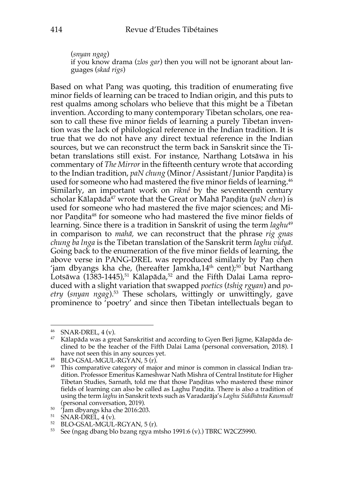(*snyan ngag*) if you know drama (*zlos gar*) then you will not be ignorant about languages (*skad rigs*)

Based on what Pang was quoting, this tradition of enumerating five minor fields of learning can be traced to Indian origin, and this puts to rest qualms among scholars who believe that this might be a Tibetan invention. According to many contemporary Tibetan scholars, one reason to call these five minor fields of learning a purely Tibetan invention was the lack of philological reference in the Indian tradition. It is true that we do not have any direct textual reference in the Indian sources, but we can reconstruct the term back in Sanskrit since the Tibetan translations still exist. For instance, Narthang Lotsāwa in his commentary of *The Mirror* in the fifteenth century wrote that according to the Indian tradition, *paN chung* (Minor/Assistant/Junior Paṇḍita) is used for someone who had mastered the five minor fields of learning.<sup>46</sup> Similarly, an important work on *rikné* by the seventeenth century scholar Kālapāda<sup>47</sup> wrote that the Great or Mahā Pandita (*paN chen*) is used for someone who had mastered the five major sciences; and Minor Paṇḍita48 for someone who had mastered the five minor fields of learning. Since there is a tradition in Sanskrit of using the term *laghu*<sup>49</sup> in comparison to *mahā,* we can reconstruct that the phrase *rig gnas chung ba lnga* is the Tibetan translation of the Sanskrit term *laghu vidyā*. Going back to the enumeration of the five minor fields of learning, the above verse in PANG-DREL was reproduced similarly by Paṇ chen 'jam dbyangs kha che, (hereafter Jamkha, $14<sup>th</sup>$  cent);<sup>50</sup> but Narthang Lotsāwa (1383-1445),<sup>51</sup> Kālapāda,<sup>52</sup> and the Fifth Dalai Lama reproduced with a slight variation that swapped *poetics* (*tshig rgyan*) and *poetry* (*snyan ngag*).53 These scholars, wittingly or unwittingly, gave prominence to 'poetry' and since then Tibetan intellectuals began to

<sup>&</sup>lt;sup>46</sup> SNAR-DREL, 4 (v).<br><sup>47</sup> Kālapāda was a great Sanskritist and according to Gyen Beri Jigme, Kālapāda declined to be the teacher of the Fifth Dalai Lama (personal conversation, 2018). I

have not seen this in any sources yet.<br>
<sup>48</sup> BLO-GSAL-MGUL-RGYAN, 5 (r).<br>
<sup>49</sup> This comparative category of major and minor is common in classical Indian tradition. Professor Emeritus Kameshwar Nath Mishra of Central Institute for Higher Tibetan Studies, Sarnath, told me that those Paṇḍitas who mastered these minor fields of learning can also be called as Laghu Paṇḍita. There is also a tradition of using the term *laghu* in Sanskrit texts such as Varadarāja's *Laghu Siddhānta Kaumudī* (personal conversation, 2019)*.* 

 $^{50}$  'Jam dbyangs kha che 2016:203.<br>  $^{51}$  SNAR-DREL, 4 (v).<br>  $^{52}$  BLO-GSAL-MGUL-RGYAN, 5 (r).

<sup>53</sup> See (ngag dbang blo bzang rgya mtsho 1991:6 (v).) TBRC W2CZ5990.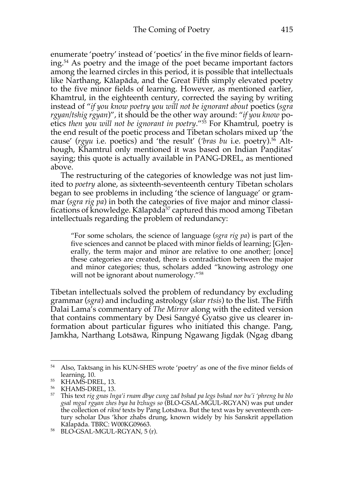enumerate 'poetry' instead of 'poetics' in the five minor fields of learning.54 As poetry and the image of the poet became important factors among the learned circles in this period, it is possible that intellectuals like Narthang, Kālapāda, and the Great Fifth simply elevated poetry to the five minor fields of learning. However, as mentioned earlier, Khamtrul, in the eighteenth century, corrected the saying by writing instead of "*if you know poetry you will not be ignorant about* poetics (*sgra rgyan/tshig rgyan*)", it should be the other way around: "*if you know* poetics *then you will not be ignorant in poetry*."55 For Khamtrul, poetry is the end result of the poetic process and Tibetan scholars mixed up 'the cause' (*rgyu* i.e. poetics) and 'the result' (*'bras bu* i.e. poetry).56 Although, Khamtrul only mentioned it was based on Indian Panditas' saying; this quote is actually available in PANG-DREL, as mentioned above.

The restructuring of the categories of knowledge was not just limited to *poetry* alone, as sixteenth-seventeenth century Tibetan scholars began to see problems in including 'the science of language' or grammar (*sgra rig pa*) in both the categories of five major and minor classifications of knowledge. Kālapāda $57$  captured this mood among Tibetan intellectuals regarding the problem of redundancy:

"For some scholars, the science of language (*sgra rig pa*) is part of the five sciences and cannot be placed with minor fields of learning; [G]enerally, the term major and minor are relative to one another; [once] these categories are created, there is contradiction between the major and minor categories; thus, scholars added "knowing astrology one will not be ignorant about numerology."<sup>58</sup>

Tibetan intellectuals solved the problem of redundancy by excluding grammar (*sgra*) and including astrology (*skar rtsis*) to the list. The Fifth Dalai Lama's commentary of *The Mirror* along with the edited version that contains commentary by Desi Sangyé Gyatso give us clearer information about particular figures who initiated this change. Pang, Jamkha, Narthang Lotsāwa, Rinpung Ngawang Jigdak (Ngag dbang

<sup>54</sup> Also, Taktsang in his KUN-SHES wrote 'poetry' as one of the five minor fields of

learning, 10. 55 KHAMS-DREL, 13. 56 KHAMS-DREL, 13. 57 This text *rig gnas lnga'i rnam dbye cung zad bshad pa legs bshad nor bu'i 'phreng ba blo gsal mgul rgyan zhes bya ba bzhugs so* (BLO-GSAL-MGUL-RGYAN) was put under the collection of *rikné* texts by Pang Lotsāwa. But the text was by seventeenth century scholar Dus 'khor zhabs drung, known widely by his Sanskrit appellation

<sup>58</sup> BLO-GSAL-MGUL-RGYAN, 5 (r).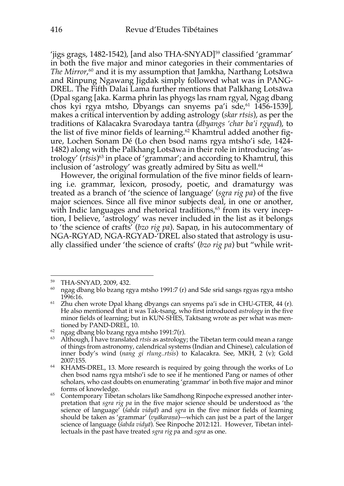'iigs grags, 1482-1542), [and also THA-SNYAD]<sup>59</sup> classified 'grammar' in both the five major and minor categories in their commentaries of *The Mirror*, <sup>60</sup> and it is my assumption that Jamkha, Narthang Lotsāwa and Rinpung Ngawang Jigdak simply followed what was in PANG-DREL. The Fifth Dalai Lama further mentions that Palkhang Lotsāwa (Dpal sgang [aka. Karma phrin las phyogs las rnam rgyal, Ngag dbang chos kyi rgya mtsho, Dbyangs can snyems pa'i sde, $61$  1456-1539], makes a critical intervention by adding astrology (*skar rtsis*), as per the traditions of Kālacakra Svarodaya tantra (*dbyangs 'char ba'i rgyud*), to the list of five minor fields of learning.<sup>62</sup> Khamtrul added another figure, Lochen Sonam Dé (Lo chen bsod nams rgya mtsho'i sde, 1424- 1482) along with the Palkhang Lotsāwa in their role in introducing 'astrology' (*rtsis*) <sup>63</sup> in place of 'grammar'; and according to Khamtrul, this inclusion of 'astrology' was greatly admired by Situ as well.<sup>64</sup>

However, the original formulation of the five minor fields of learning i.e. grammar, lexicon, prosody, poetic, and dramaturgy was treated as a branch of 'the science of language' (*sgra rig pa*) of the five major sciences. Since all five minor subjects deal, in one or another, with Indic languages and rhetorical traditions, <sup>65</sup> from its very inception, I believe, 'astrology' was never included in the list as it belongs to 'the science of crafts' (*bzo rig pa*). Sapaṇ, in his autocommentary of NGA-RGYAD, NGA-RGYAD-'DREL also stated that astrology is usually classified under 'the science of crafts' (*bzo rig pa*) but "while writ-

<sup>&</sup>lt;sup>59</sup> THA-SNYAD, 2009, 432.<br><sup>60</sup> ngag dbang blo bzang rgya mtsho 1991:7 (r) and Sde srid sangs rgyas rgya mtsho<br>1996:16.

 $1996$  Zhu chen wrote Dpal khang dbyangs can snyems pa'i sde in CHU-GTER, 44 (r). He also mentioned that it was Tak-tsang, who first introduced *astrology* in the five minor fields of learning; but in KUN-SHES, Taktsang wrote as per what was mentioned by PAND-DREL, 10.

 $62$  ngag dbang blo bzang rgya mtsho 1991:7(r).

<sup>63</sup> Although, I have translated *rtsis* as astrology; the Tibetan term could mean a range of things from astronomy, calendrical systems (Indian and Chinese), calculation of inner body's wind (*nang gi rlung..rtsis*) to Kalacakra. See, MKH, 2 (v); Gold 2007:155. 64 KHAMS-DREL, 13. More research is required by going through the works of Lo

chen bsod nams rgya mtsho'i sde to see if he mentioned Pang or names of other scholars, who cast doubts on enumerating 'grammar' in both five major and minor forms of knowledge.<br>
<sup>65</sup> Contemporary Tibetan scholars like Samdhong Rinpoche expressed another inter-

pretation that *sgra rig pa* in the five major science should be understood as 'the science of language' (*śabda vidyā*) and *sgra* in the five minor fields of learning should be taken as 'grammar' (*vyākaraṇa*)—which can just be a part of the larger science of language (*śabda vidyā*). See Rinpoche 2012:121. However, Tibetan intellectuals in the past have treated *sgra rig p*a and *sgra* as one.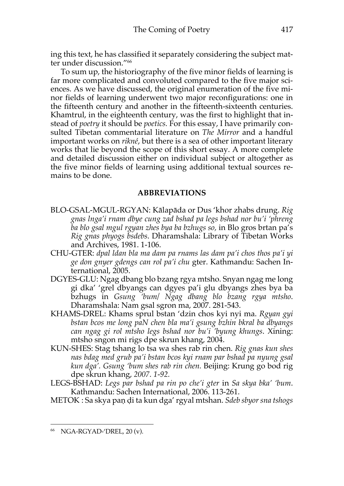ing this text, he has classified it separately considering the subject matter under discussion."66

To sum up, the historiography of the five minor fields of learning is far more complicated and convoluted compared to the five major sciences. As we have discussed, the original enumeration of the five minor fields of learning underwent two major reconfigurations: one in the fifteenth century and another in the fifteenth-sixteenth centuries. Khamtrul, in the eighteenth century, was the first to highlight that instead of *poetry* it should be *poetics.* For this essay, I have primarily consulted Tibetan commentarial literature on *The Mirror* and a handful important works on *rikné*, but there is a sea of other important literary works that lie beyond the scope of this short essay. A more complete and detailed discussion either on individual subject or altogether as the five minor fields of learning using additional textual sources remains to be done.

### **ABBREVIATIONS**

- BLO-GSAL-MGUL-RGYAN: Kālapāda or Dus 'khor zhabs drung. *Rig gnas lnga'i rnam dbye cung zad bshad pa legs bshad nor bu'i 'phreng ba blo gsal mgul rgyan zhes bya ba bzhugs so,* in Blo gros brtan pa's *Rig gnas phyogs bsdebs*. Dharamshala: Library of Tibetan Works and Archives, 1981. 1-106.
- CHU-GTER: *dpal ldan bla ma dam pa rnams las dam pa'i chos thos pa'i yi ge don gnyer gdengs can rol pa'i chu* gter. Kathmandu: Sachen International, 2005.
- DGYES-GLU: Ngag dbang blo bzang rgya mtsho. Snyan ngag me long gi dka' 'grel dbyangs can dgyes pa'i glu dbyangs zhes bya ba bzhugs in *Gsung 'bum/ Ngag dbang blo bzang rgya mtsho*. Dharamshala: Nam gsal sgron ma, 2007. 281-543.
- KHAMS-DREL: Khams sprul bstan 'dzin chos kyi nyi ma. *Rgyan gyi bstan bcos me long paN chen bla ma'i gsung bzhin bkral ba dbyangs can ngag gi rol mtsho legs bshad nor bu'i 'byung khungs*. Xining: mtsho sngon mi rigs dpe skrun khang, 2004.
- KUN-SHES: Stag tshang lo tsa wa shes rab rin chen. *Rig gnas kun shes nas bdag med grub pa'i bstan bcos kyi rnam par bshad pa nyung gsal kun dga'. Gsung 'bum shes rab rin chen.* Beijing: Krung go bod rig dpe skrun khang, *2007. 1-92.*
- LEGS-BSHAD: *Legs par bshad pa rin po che'i gter* in *Sa skya bka' 'bum*. Kathmandu: Sachen International, 2006. 113-261.
- METOK : Sa skya paṇ ḍi ta kun dga' rgyal mtshan. *Sdeb sbyor sna tshogs*

<sup>66</sup> NGA-RGYAD-'DREL, 20 (v).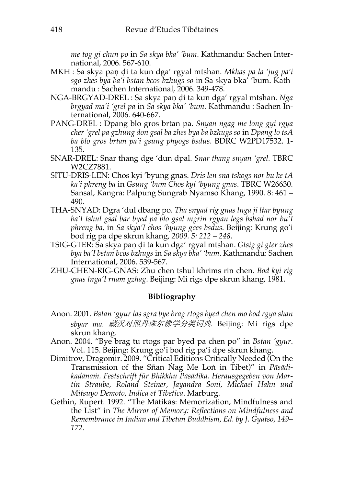*me tog gi chun po* in *Sa skya bka' 'bum*. Kathmandu: Sachen International, 2006. 567-610.

- MKH : Sa skya paṇ ḍi ta kun dga' rgyal mtshan. *Mkhas pa la 'jug pa'i sgo zhes bya ba'i bstan bcos bzhugs so* in Sa skya bka' 'bum. Kathmandu : Sachen International, 2006. 349-478.
- NGA-BRGYAD-DREL : Sa skya paṇ ḍi ta kun dga' rgyal mtshan. *Nga brgyad ma'i 'grel pa* in *Sa skya bka' 'bum*. Kathmandu : Sachen International, 2006. 640-667.
- PANG-DREL : Dpang blo gros brtan pa. *Snyan ngag me long gyi rgya cher 'grel pa gzhung don gsal ba zhes bya ba bzhugs so* in *Dpang lo tsA ba blo gros brtan pa'i gsung phyogs bsdus*. BDRC W2PD17532. 1- 135.
- SNAR-DREL: Snar thang dge 'dun dpal. *Snar thang snyan 'grel.* TBRC W2CZ7881.
- SITU-DRIS-LEN: Chos kyi 'byung gnas. *Dris len sna tshogs nor bu ke tA ka'i phreng ba* in *Gsung 'bum Chos kyi 'byung gnas*. TBRC W26630. Sansal, Kangra: Palpung Sungrab Nyamso Khang, 1990. 8: 461 – 490.
- THA-SNYAD: Dgra 'dul dbang po. *Tha snyad rig gnas lnga ji ltar byung ba'I tshul gsal bar byed pa blo gsal mgrin rgyan legs bshad nor bu'I phreng ba,* in *Sa skya'I chos 'byung gces bsdus.* Beijing*:* Krung go'i bod rig pa dpe skrun khang*, 2009. 5: 212 – 248.*
- TSIG-GTER: Sa skya paṇ ḍi ta kun dga' rgyal mtshan. *Gtsig gi gter zhes bya ba'I bstan bcos bzhugs* in *Sa skya bka' 'bum*. Kathmandu: Sachen International, 2006. 539-567.
- ZHU-CHEN-RIG-GNAS: Zhu chen tshul khrims rin chen. *Bod kyi rig gnas lnga'I rnam gzhag*. Beijing: Mi rigs dpe skrun khang, 1981.

## **Bibliography**

- Anon. 2001. *Bstan 'gyur las sgra bye brag rtogs byed chen mo bod rgya shan sbyar ma.* 藏汉对照丹珠尔佛学分类词典. Beijing: Mi rigs dpe skrun khang.
- Anon. 2004. "Bye brag tu rtogs par byed pa chen po" in *Bstan 'gyur*. Vol. 115. Beijing: Krung go'i bod rig pa'i dpe skrun khang.
- Dimitrov, Dragomir. 2009. "Critical Editions Critically Needed (On the Transmission of the Sñan Nag Me Lon in Tibet)" in *Pāsādikadānaṁ. Festschrift für Bhikkhu Pāsādika. Herausgegeben von Martin Straube, Roland Steiner, Jayandra Soni, Michael Hahn und Mitsuyo Demoto*, *Indica et Tibetica*. Marburg.
- Gethin, Rupert. 1992. "The Mātikās: Memorization, Mindfulness and the List" in *The Mirror of Memory: Reflections on Mindfulness and Remembrance in Indian and Tibetan Buddhism, Ed. by J. Gyatso, 149– 172*.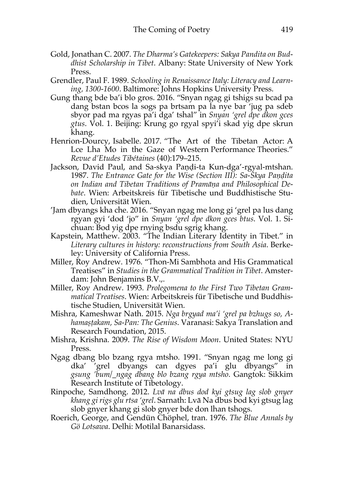- Gold, Jonathan C. 2007. *The Dharma's Gatekeepers: Sakya Pandita on Buddhist Scholarship in Tibet*. Albany: State University of New York Press.
- Grendler, Paul F. 1989. *Schooling in Renaissance Italy: Literacy and Learning, 1300-1600*. Baltimore: Johns Hopkins University Press.
- Gung thang bde ba'i blo gros. 2016. "Snyan ngag gi tshigs su bcad pa dang bstan bcos la sogs pa brtsam pa la nye bar 'jug pa sdeb sbyor pad ma rgyas pa'i dga' tshal" in *Snyan 'grel dpe dkon gces gtus*. Vol. 1. Beijing: Krung go rgyal spyi'i skad yig dpe skrun khang.
- Henrion-Dourcy, Isabelle. 2017. "The Art of the Tibetan Actor: A Lce Lha Mo in the Gaze of Western Performance Theories." *Revue d'Etudes Tibétaines* (40):179–215.
- Jackson, David Paul, and Sa-skya Paṇḍi-ta Kun-dga'-rgyal-mtshan. 1987. *The Entrance Gate for the Wise (Section III): Sa-Skya Paṇḍita on Indian and Tibetan Traditions of Pramāṇa and Philosophical Debate*. Wien: Arbeitskreis für Tibetische und Buddhistische Studien, Universität Wien.
- 'Jam dbyangs kha che. 2016. "Snyan ngag me long gi 'grel pa lus dang rgyan gyi 'dod 'jo" in *Snyan 'grel dpe dkon gces btus*. Vol. 1. Sichuan: Bod yig dpe rnying bsdu sgrig khang.
- Kapstein, Matthew. 2003. "The Indian Literary Identity in Tibet." in *Literary cultures in history: reconstructions from South Asia*. Berkeley: University of California Press.
- Miller, Roy Andrew. 1976. "Thon-Mi Sambhota and His Grammatical Treatises" in *Studies in the Grammatical Tradition in Tibet*. Amsterdam: John Benjamins B.V.,.
- Miller, Roy Andrew. 1993. *Prolegomena to the First Two Tibetan Grammatical Treatises*. Wien: Arbeitskreis für Tibetische und Buddhistische Studien, Universität Wien.
- Mishra, Kameshwar Nath. 2015. *Nga brgyad ma'i 'grel pa bzhugs so, Ahamaṣṭakam, Sa-Pan: The Genius*. Varanasi: Sakya Translation and Research Foundation, 2015.
- Mishra, Krishna. 2009. *The Rise of Wisdom Moon*. United States: NYU Press.
- Ngag dbang blo bzang rgya mtsho. 1991. "Snyan ngag me long gi dka' 'grel dbyangs can dgyes pa'i glu dbyangs" in *gsung 'bum/\_ngag dbang blo bzang rgya mtsho*. Gangtok: Sikkim Research Institute of Tibetology.
- Rinpoche, Samdhong. 2012. *Lvā na dbus dod kyi gtsug lag slob gnyer khang gi rigs glu rtsa 'grel*. Sarnath: Lvā Na dbus bod kyi gtsug lag slob gnyer khang gi slob gnyer bde don lhan tshogs.
- Roerich, George, and Gendün Chöphel, tran. 1976. *The Blue Annals by Gö Lotsawa*. Delhi: Motilal Banarsidass.